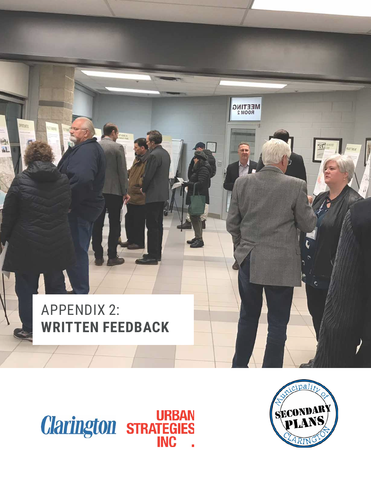# $MEETINGRoom 2$ n APPENDIX 2: **WRITTEN FEEDBACK**



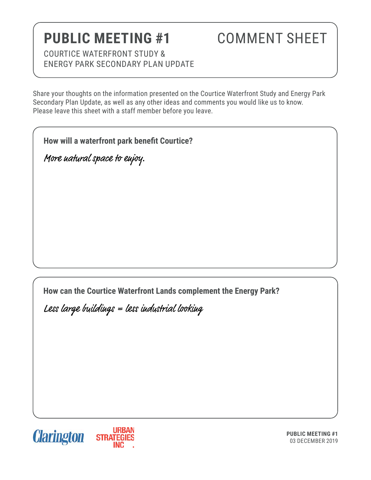# **PUBLIC MEETING #1**

### COMMENT SHEET

COURTICE WATERFRONT STUDY & ENERGY PARK SECONDARY PLAN UPDATE

Share your thoughts on the information presented on the Courtice Waterfront Study and Energy Park Secondary Plan Update, as well as any other ideas and comments you would like us to know. Please leave this sheet with a staff member before you leave.

**How will a waterfront park benefit Courtice?**

More natural space to enjoy.

**How can the Courtice Waterfront Lands complement the Energy Park?** 

Less large buildings = less industrial looking



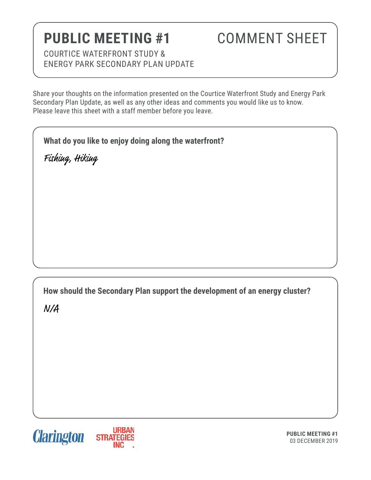# **PUBLIC MEETING #1**

### COMMENT SHEET

COURTICE WATERFRONT STUDY & ENERGY PARK SECONDARY PLAN UPDATE

Share your thoughts on the information presented on the Courtice Waterfront Study and Energy Park Secondary Plan Update, as well as any other ideas and comments you would like us to know. Please leave this sheet with a staff member before you leave.

**What do you like to enjoy doing along the waterfront?** 

Fishing, Hiking

**How should the Secondary Plan support the development of an energy cluster?**  N/A



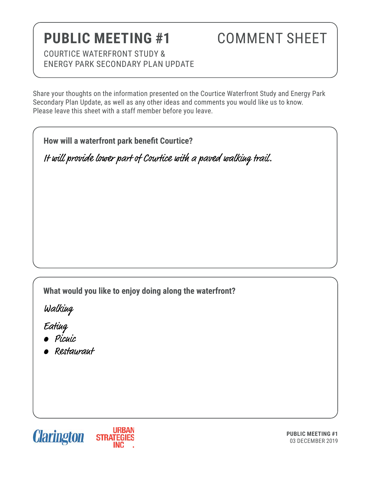# **PUBLIC MEETING #1**

### COMMENT SHEET

COURTICE WATERFRONT STUDY & ENERGY PARK SECONDARY PLAN UPDATE

Share your thoughts on the information presented on the Courtice Waterfront Study and Energy Park Secondary Plan Update, as well as any other ideas and comments you would like us to know. Please leave this sheet with a staff member before you leave.

**How will a waterfront park benefit Courtice?**

It will provide lower part of Courtice with a paved walking trail.

**What would you like to enjoy doing along the waterfront?** 

Walking

Eating

- Picnic
- Restaurant

**Clarington** 



**PUBLIC MEETING #1** 03 DECEMBER 2019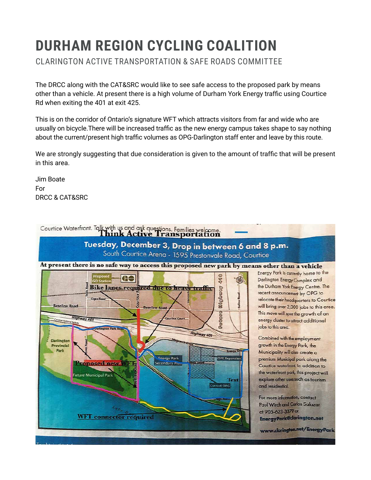# **DURHAM REGION CYCLING COALITION**

CLARINGTON ACTIVE TRANSPORTATION & SAFE ROADS COMMITTEE

The DRCC along with the CAT&SRC would like to see safe access to the proposed park by means other than a vehicle. At present there is a high volume of Durham York Energy traffic using Courtice Rd when exiting the 401 at exit 425.

This is on the corridor of Ontario's signature WFT which attracts visitors from far and wide who are usually on bicycle.There will be increased traffic as the new energy campus takes shape to say nothing about the current/present high traffic volumes as OPG-Darlington staff enter and leave by this route.

We are strongly suggesting that due consideration is given to the amount of traffic that will be present in this area.

Jim Boate For DRCC & CAT&SRC